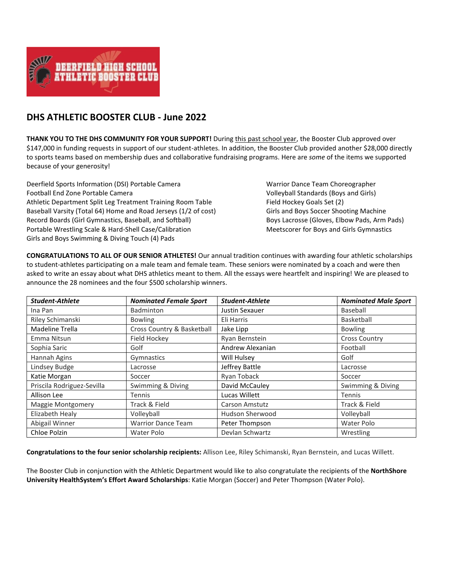

## **DHS ATHLETIC BOOSTER CLUB - June 2022**

**THANK YOU TO THE DHS COMMUNITY FOR YOUR SUPPORT!** During this past school year, the Booster Club approved over \$147,000 in funding requests in support of our student-athletes. In addition, the Booster Club provided another \$28,000 directly to sports teams based on membership dues and collaborative fundraising programs. Here are *some* of the items we supported because of your generosity!

Deerfield Sports Information (DSI) Portable Camera Warrior Dance Team Choreographer Football End Zone Portable Camera Volleyball Standards (Boys and Girls) Athletic Department Split Leg Treatment Training Room Table Field Hockey Goals Set (2) Baseball Varsity (Total 64) Home and Road Jerseys (1/2 of cost) Girls and Boys Soccer Shooting Machine Record Boards (Girl Gymnastics, Baseball, and Softball) Boys Lacrosse (Gloves, Elbow Pads, Arm Pads) Portable Wrestling Scale & Hard-Shell Case/Calibration Meetscorer for Boys and Girls Gymnastics Girls and Boys Swimming & Diving Touch (4) Pads

**CONGRATULATIONS TO ALL OF OUR SENIOR ATHLETES!** Our annual tradition continues with awarding four athletic scholarships to student-athletes participating on a male team and female team. These seniors were nominated by a coach and were then asked to write an essay about what DHS athletics meant to them. All the essays were heartfelt and inspiring! We are pleased to announce the 28 nominees and the four \$500 scholarship winners.

| <b>Student-Athlete</b>     | <b>Nominated Female Sport</b> | <b>Student-Athlete</b> | <b>Nominated Male Sport</b> |
|----------------------------|-------------------------------|------------------------|-----------------------------|
| Ina Pan                    | Badminton                     | Justin Sexauer         | Baseball                    |
| Riley Schimanski           | <b>Bowling</b>                | Eli Harris             | Basketball                  |
| Madeline Trella            | Cross Country & Basketball    | Jake Lipp              | <b>Bowling</b>              |
| Emma Nitsun                | Field Hockey                  | Ryan Bernstein         | <b>Cross Country</b>        |
| Sophia Saric               | Golf                          | Andrew Alexanian       | Football                    |
| Hannah Agins               | Gymnastics                    | Will Hulsey            | Golf                        |
| Lindsey Budge              | Lacrosse                      | Jeffrey Battle         | Lacrosse                    |
| Katie Morgan               | Soccer                        | Ryan Toback            | Soccer                      |
| Priscila Rodriguez-Sevilla | Swimming & Diving             | David McCauley         | Swimming & Diving           |
| Allison Lee                | <b>Tennis</b>                 | Lucas Willett          | Tennis                      |
| Maggie Montgomery          | Track & Field                 | <b>Carson Amstutz</b>  | Track & Field               |
| Elizabeth Healy            | Volleyball                    | <b>Hudson Sherwood</b> | Volleyball                  |
| Abigail Winner             | <b>Warrior Dance Team</b>     | Peter Thompson         | Water Polo                  |
| Chloe Polzin               | Water Polo                    | Devlan Schwartz        | Wrestling                   |

**Congratulations to the four senior scholarship recipients:** Allison Lee, Riley Schimanski, Ryan Bernstein, and Lucas Willett.

The Booster Club in conjunction with the Athletic Department would like to also congratulate the recipients of the **NorthShore University HealthSystem's Effort Award Scholarships**: Katie Morgan (Soccer) and Peter Thompson (Water Polo).